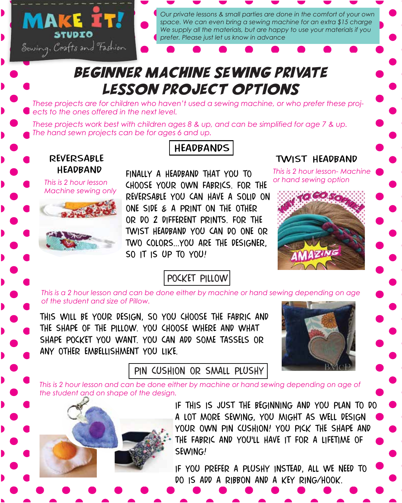

*Our private lessons & small parties are done in the comfort of your own space. We can even bring a sewing machine for an extra \$15 charge We supply all the materials, but are happy to use your materials if you prefer. Please just let us know in advance*

### Beginner machine sewing private lesson project options

*These projects are for children who haven't used a sewing machine, or who prefer these projects to the ones offered in the next level.* 

*These projects work best with children ages 8 & up, and can be simplified for age 7 & up. The hand sewn projects can be for ages 6 and up.*



*Machine sewing only*



### **HEADBANDS**

finally a headband that you to choose your own fabrics. for the reversable you can have a solid on one side & a print on the other or do 2 different prints. for the twist headband you can do one or two colors...you are the designer, so it is up to you!

#### pocket pillow

#### twist headband

*This is 2 hour lesson- Machine or hand sewing option*



*This is a 2 hour lesson and can be done either by machine or hand sewing depending on age of the student and size of Pillow.*

this will be your design, so you choose the fabric and the shape of the pillow. you choose where and what shape pocket you want. you can add some tassels or any other embellishment you like.



#### pin cushion or small plushy

*This is 2 hour lesson and can be done either by machine or hand sewing depending on age of the student and on shape of the design.*



if this is just the beginning and you plan to do a lot more sewing, you might as well design your own pin cushion! you pick the shape and the fabric and you'll have it for a lifetime of sewing!

if you prefer a plushy instead, all we need to do is add a ribbon and a key ring/hook.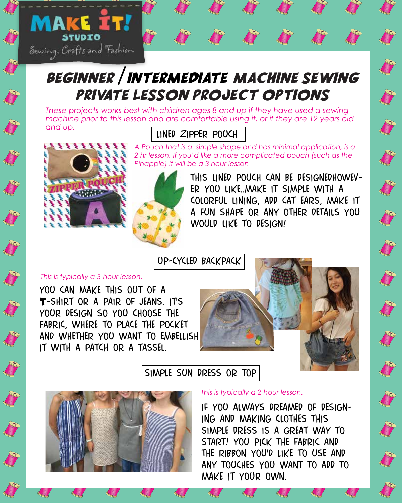

## Beginner /intermediate machine sewing private lesson project options

lined zipper pouch *These projects works best with children ages 8 and up if they have used a sewing machine prior to this lesson and are comfortable using it, or if they are 12 years old and up.*



**SAN DESCRIPTION** 

S

J

**SAN DESCRIPTION** 

S

*A Pouch that is a simple shape and has minimal application, is a 2 hr lesson, If you'd like a more complicated pouch (such as the Pinapple) it will be a 3 hour lesson*



this lined pouch can be designedhowever you like..make it simple with a colorful lining, add cat ears, make it a fun shape or any other details you would like to design!

J

J

J

J

J

J

J

J

J

J

up-cycled backpack

#### *This is typically a 3 hour lesson.*

you can make this out of a T-SHIRT OR A PAIR OF JEANS. IT'S your design so you choose the fabric, where to place the pocket and whether you want to embellish it with a patch or a tassel.



simple sun dress or top



*This is typically a 2 hour lesson.* 

if you always dreamed of designing and making clothes this simple dress is a great way to start! you pick the fabric and the ribbon you'd like to use and any touches you want to add to make it your own.